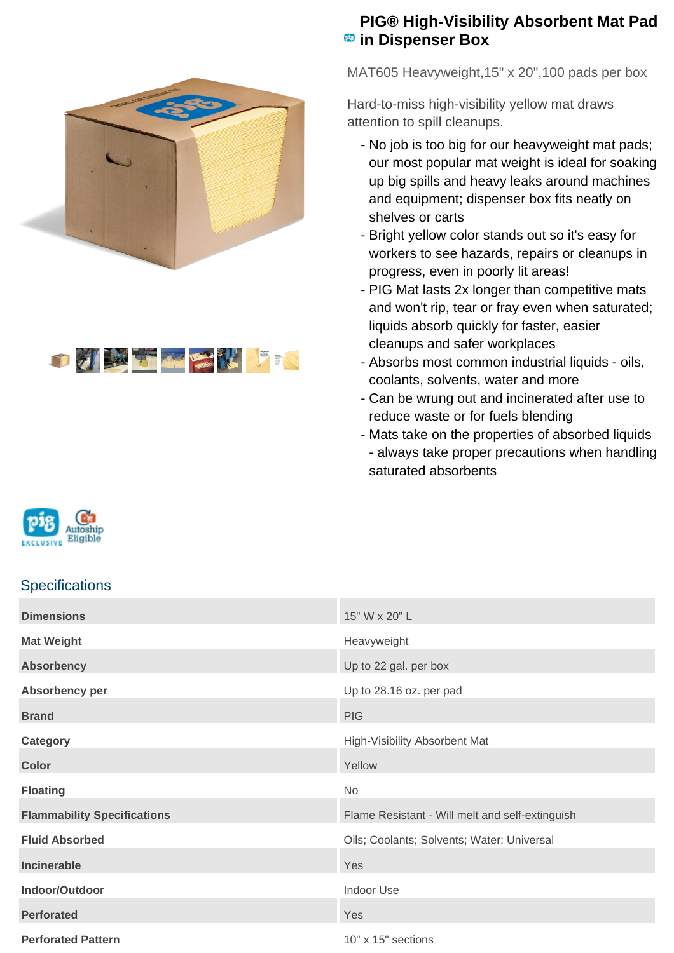



## **PIG® High-Visibility Absorbent Mat Pad EB** in Dispenser Box

MAT605 Heavyweight,15" x 20",100 pads per box

Hard-to-miss high-visibility yellow mat draws attention to spill cleanups.

- No job is too big for our heavyweight mat pads; our most popular mat weight is ideal for soaking up big spills and heavy leaks around machines and equipment; dispenser box fits neatly on shelves or carts
- Bright yellow color stands out so it's easy for workers to see hazards, repairs or cleanups in progress, even in poorly lit areas!
- PIG Mat lasts 2x longer than competitive mats and won't rip, tear or fray even when saturated; liquids absorb quickly for faster, easier cleanups and safer workplaces
- Absorbs most common industrial liquids oils, coolants, solvents, water and more
- Can be wrung out and incinerated after use to reduce waste or for fuels blending
- Mats take on the properties of absorbed liquids - always take proper precautions when handling saturated absorbents



## **Specifications**

| <b>Dimensions</b>                  | 15" W x 20" L                                   |
|------------------------------------|-------------------------------------------------|
| <b>Mat Weight</b>                  | Heavyweight                                     |
| <b>Absorbency</b>                  | Up to 22 gal. per box                           |
| Absorbency per                     | Up to 28.16 oz. per pad                         |
| <b>Brand</b>                       | <b>PIG</b>                                      |
| Category                           | High-Visibility Absorbent Mat                   |
| <b>Color</b>                       | Yellow                                          |
|                                    |                                                 |
| <b>Floating</b>                    | No                                              |
| <b>Flammability Specifications</b> | Flame Resistant - Will melt and self-extinguish |
| <b>Fluid Absorbed</b>              | Oils; Coolants; Solvents; Water; Universal      |
| Incinerable                        | Yes                                             |
| Indoor/Outdoor                     | Indoor Use                                      |
| <b>Perforated</b>                  | Yes                                             |